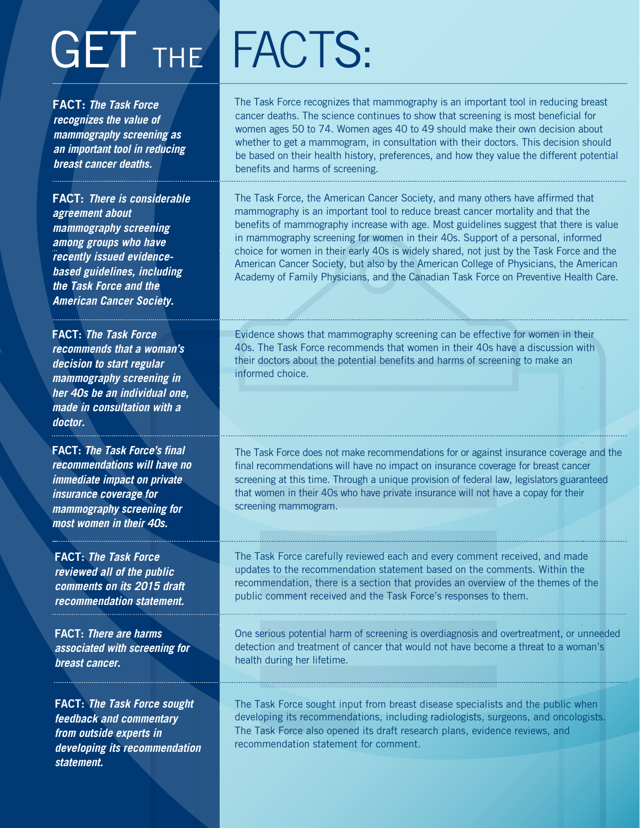## GET THE FACTS:

FACT: **The Task Force recognizes the value of mammography screening as an important tool in reducing breast cancer deaths.**

FACT: **There is considerable agreement about mammography screening among groups who have recently issued evidencebased guidelines, including the Task Force and the American Cancer Society.** 

FACT: **The Task Force recommends that a woman's decision to start regular mammography screening in her 40s be an individual one, made in consultation with a doctor.**

FACT: **The Task Force's final recommendations will have no immediate impact on private insurance coverage for mammography screening for most women in their 40s.**

FACT: **The Task Force reviewed all of the public comments on its 2015 draft recommendation statement.** 

FACT: **There are harms associated with screening for breast cancer.**

FACT: **The Task Force sought feedback and commentary from outside experts in developing its recommendation statement.** 

The Task Force recognizes that mammography is an important tool in reducing breast cancer deaths. The science continues to show that screening is most beneficial for women ages 50 to 74. Women ages 40 to 49 should make their own decision about whether to get a mammogram, in consultation with their doctors. This decision should be based on their health history, preferences, and how they value the different potential benefits and harms of screening.

The Task Force, the American Cancer Society, and many others have affirmed that mammography is an important tool to reduce breast cancer mortality and that the benefits of mammography increase with age. Most guidelines suggest that there is value in mammography screening for women in their 40s. Support of a personal, informed choice for women in their early 40s is widely shared, not just by the Task Force and the American Cancer Society, but also by the American College of Physicians, the American Academy of Family Physicians, and the Canadian Task Force on Preventive Health Care.

Evidence shows that mammography screening can be effective for women in their 40s. The Task Force recommends that women in their 40s have a discussion with their doctors about the potential benefits and harms of screening to make an informed choice.

The Task Force does not make recommendations for or against insurance coverage and the final recommendations will have no impact on insurance coverage for breast cancer screening at this time. Through a unique provision of federal law, legislators guaranteed that women in their 40s who have private insurance will not have a copay for their screening mammogram.

The Task Force carefully reviewed each and every comment received, and made updates to the recommendation statement based on the comments. Within the recommendation, there is a section that provides an overview of the themes of the public comment received and the Task Force's responses to them.

One serious potential harm of screening is overdiagnosis and overtreatment, or unneeded detection and treatment of cancer that would not have become a threat to a woman's health during her lifetime.

The Task Force sought input from breast disease specialists and the public when developing its recommendations, including radiologists, surgeons, and oncologists. The Task Force also opened its draft research plans, evidence reviews, and recommendation statement for comment.